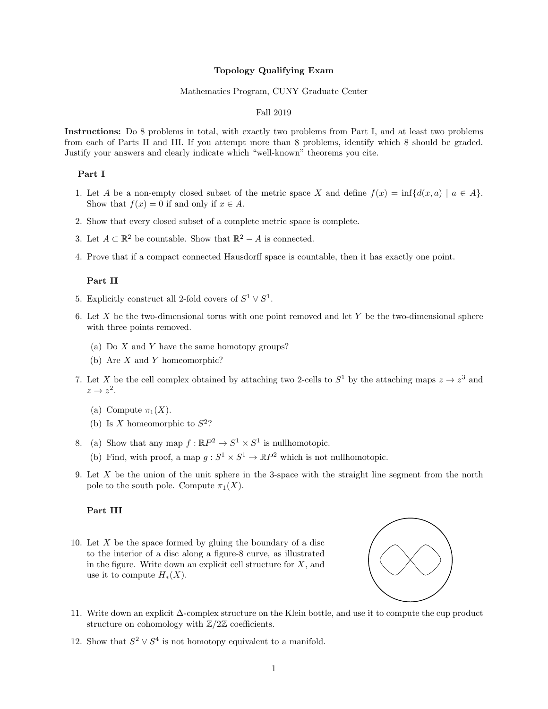#### Topology Qualifying Exam

#### Mathematics Program, CUNY Graduate Center

# Fall 2019

Instructions: Do 8 problems in total, with exactly two problems from Part I, and at least two problems from each of Parts II and III. If you attempt more than 8 problems, identify which 8 should be graded. Justify your answers and clearly indicate which "well-known" theorems you cite.

# Part I

- 1. Let A be a non-empty closed subset of the metric space X and define  $f(x) = \inf\{d(x, a) | a \in A\}$ . Show that  $f(x) = 0$  if and only if  $x \in A$ .
- 2. Show that every closed subset of a complete metric space is complete.
- 3. Let  $A \subset \mathbb{R}^2$  be countable. Show that  $\mathbb{R}^2 A$  is connected.
- 4. Prove that if a compact connected Hausdorff space is countable, then it has exactly one point.

## Part II

- 5. Explicitly construct all 2-fold covers of  $S^1 \vee S^1$ .
- 6. Let X be the two-dimensional torus with one point removed and let Y be the two-dimensional sphere with three points removed.
	- (a) Do  $X$  and  $Y$  have the same homotopy groups?
	- (b) Are X and Y homeomorphic?
- 7. Let X be the cell complex obtained by attaching two 2-cells to  $S^1$  by the attaching maps  $z \to z^3$  and  $z \to z^2$ .
	- (a) Compute  $\pi_1(X)$ .
	- (b) Is X homeomorphic to  $S^2$ ?
- 8. (a) Show that any map  $f : \mathbb{R}P^2 \to S^1 \times S^1$  is nullhomotopic.
	- (b) Find, with proof, a map  $g: S^1 \times S^1 \to \mathbb{R}P^2$  which is not nullhomotopic.
- 9. Let X be the union of the unit sphere in the 3-space with the straight line segment from the north pole to the south pole. Compute  $\pi_1(X)$ .

### Part III

10. Let  $X$  be the space formed by gluing the boundary of a disc to the interior of a disc along a figure-8 curve, as illustrated in the figure. Write down an explicit cell structure for  $X$ , and use it to compute  $H_*(X)$ .



- 11. Write down an explicit ∆-complex structure on the Klein bottle, and use it to compute the cup product structure on cohomology with  $\mathbb{Z}/2\mathbb{Z}$  coefficients.
- 12. Show that  $S^2 \vee S^4$  is not homotopy equivalent to a manifold.